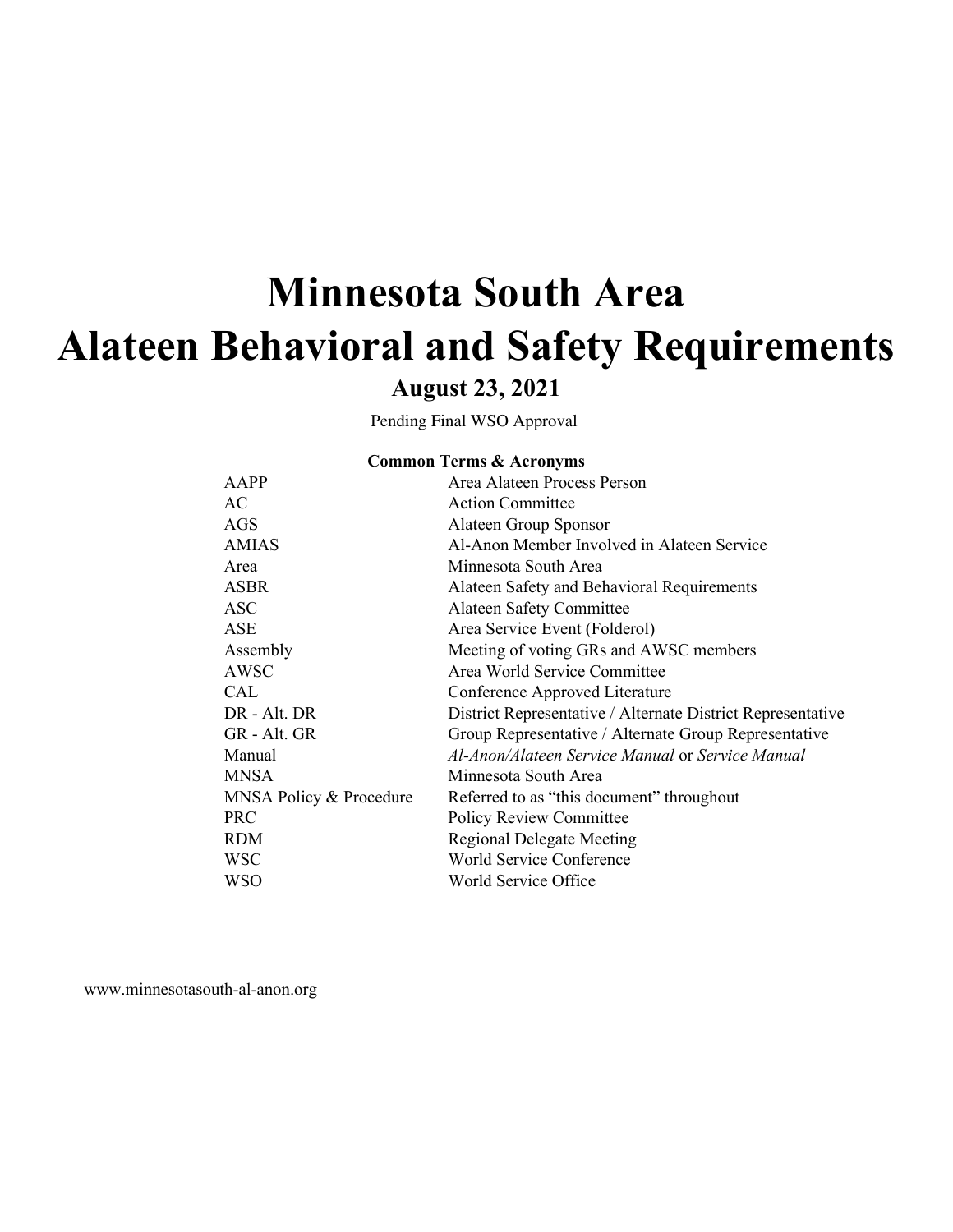# **Minnesota South Area Alateen Behavioral and Safety Requirements**

# **August 23, 2021**

Pending Final WSO Approval

#### **Common Terms & Acronyms**

| AAPP                    | Area Alateen Process Person                                 |
|-------------------------|-------------------------------------------------------------|
| AC.                     | <b>Action Committee</b>                                     |
| AGS                     | Alateen Group Sponsor                                       |
| <b>AMIAS</b>            | Al-Anon Member Involved in Alateen Service                  |
| Area                    | Minnesota South Area                                        |
| <b>ASBR</b>             | Alateen Safety and Behavioral Requirements                  |
| ASC                     | <b>Alateen Safety Committee</b>                             |
| ASE                     | Area Service Event (Folderol)                               |
| Assembly                | Meeting of voting GRs and AWSC members                      |
| AWSC                    | Area World Service Committee                                |
| CAL                     | Conference Approved Literature                              |
| DR - Alt. DR            | District Representative / Alternate District Representative |
| GR - Alt. GR            | Group Representative / Alternate Group Representative       |
| Manual                  | Al-Anon/Alateen Service Manual or Service Manual            |
| <b>MNSA</b>             | Minnesota South Area                                        |
| MNSA Policy & Procedure | Referred to as "this document" throughout                   |
| <b>PRC</b>              | <b>Policy Review Committee</b>                              |
| <b>RDM</b>              | <b>Regional Delegate Meeting</b>                            |
| <b>WSC</b>              | World Service Conference                                    |
| WSO                     | World Service Office                                        |
|                         |                                                             |

[www.minnesotasouth-al-anon.org](http://www.minnesotasouth-al-anon.org/)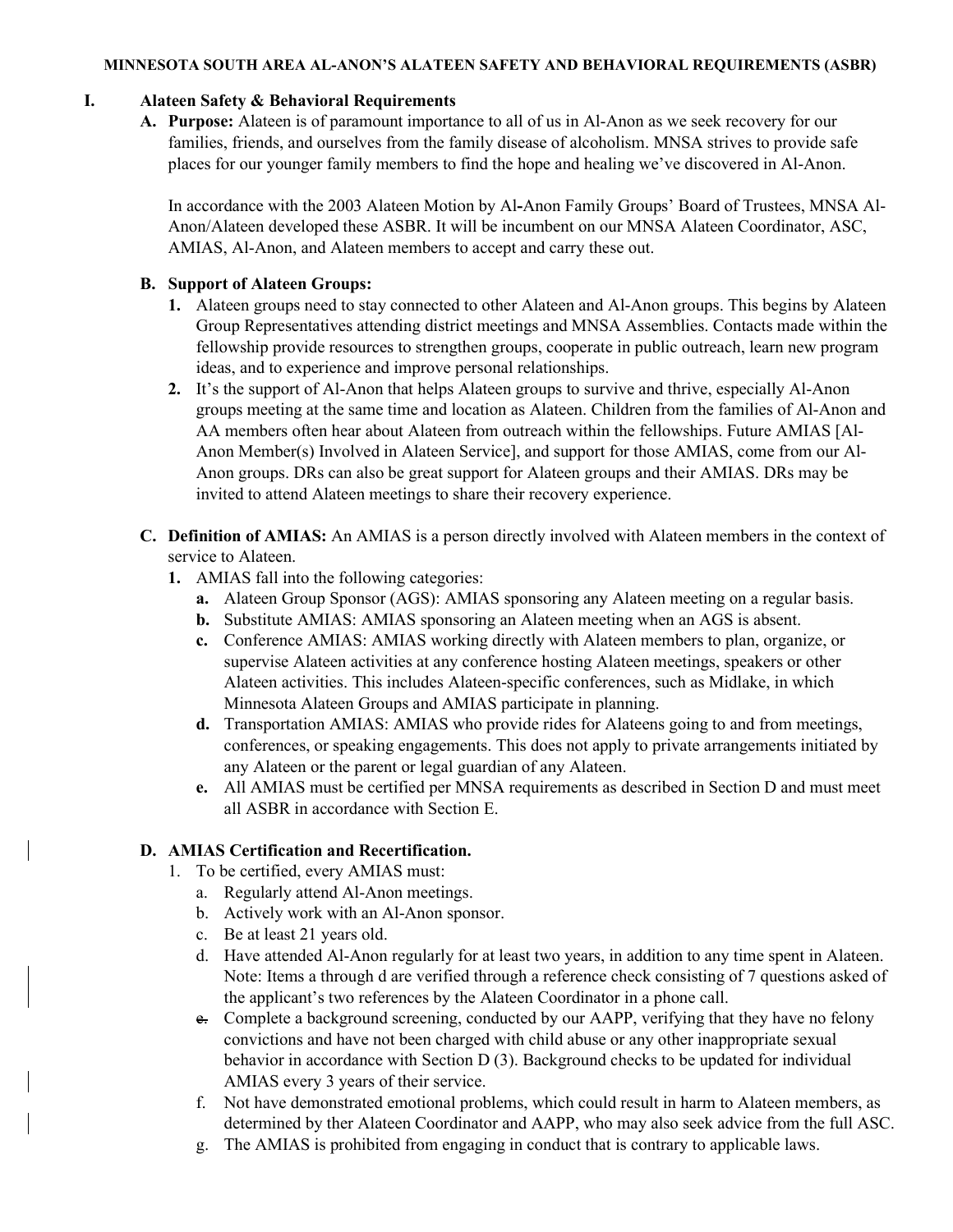#### **MINNESOTA SOUTH AREA AL-ANON'S ALATEEN SAFETY AND BEHAVIORAL REQUIREMENTS (ASBR)**

#### **I. Alateen Safety & Behavioral Requirements**

**A. Purpose:** Alateen is of paramount importance to all of us in Al-Anon as we seek recovery for our families, friends, and ourselves from the family disease of alcoholism. MNSA strives to provide safe places for our younger family members to find the hope and healing we've discovered in Al-Anon.

In accordance with the 2003 Alateen Motion by Al**-**Anon Family Groups' Board of Trustees, MNSA Al-Anon/Alateen developed these ASBR. It will be incumbent on our MNSA Alateen Coordinator, ASC, AMIAS, Al-Anon, and Alateen members to accept and carry these out.

#### **B. Support of Alateen Groups:**

- **1.** Alateen groups need to stay connected to other Alateen and Al-Anon groups. This begins by Alateen Group Representatives attending district meetings and MNSA Assemblies. Contacts made within the fellowship provide resources to strengthen groups, cooperate in public outreach, learn new program ideas, and to experience and improve personal relationships.
- **2.** It's the support of Al-Anon that helps Alateen groups to survive and thrive, especially Al-Anon groups meeting at the same time and location as Alateen. Children from the families of Al-Anon and AA members often hear about Alateen from outreach within the fellowships. Future AMIAS [Al-Anon Member(s) Involved in Alateen Service], and support for those AMIAS, come from our Al-Anon groups. DRs can also be great support for Alateen groups and their AMIAS. DRs may be invited to attend Alateen meetings to share their recovery experience.
- **C. Definition of AMIAS:** An AMIAS is a person directly involved with Alateen members in the context of service to Alateen.
	- **1.** AMIAS fall into the following categories:
		- **a.** Alateen Group Sponsor (AGS): AMIAS sponsoring any Alateen meeting on a regular basis.
		- **b.** Substitute AMIAS: AMIAS sponsoring an Alateen meeting when an AGS is absent.
		- **c.** Conference AMIAS: AMIAS working directly with Alateen members to plan, organize, or supervise Alateen activities at any conference hosting Alateen meetings, speakers or other Alateen activities. This includes Alateen-specific conferences, such as Midlake, in which Minnesota Alateen Groups and AMIAS participate in planning.
		- **d.** Transportation AMIAS: AMIAS who provide rides for Alateens going to and from meetings, conferences, or speaking engagements. This does not apply to private arrangements initiated by any Alateen or the parent or legal guardian of any Alateen.
		- **e.** All AMIAS must be certified per MNSA requirements as described in Section D and must meet all ASBR in accordance with Section E.

#### **D. AMIAS Certification and Recertification.**

- 1. To be certified, every AMIAS must:
	- a. Regularly attend Al-Anon meetings.
	- b. Actively work with an Al-Anon sponsor.
	- c. Be at least 21 years old.
	- d. Have attended Al-Anon regularly for at least two years, in addition to any time spent in Alateen. Note: Items a through d are verified through a reference check consisting of 7 questions asked of the applicant's two references by the Alateen Coordinator in a phone call.
	- e. Complete a background screening, conducted by our AAPP, verifying that they have no felony convictions and have not been charged with child abuse or any other inappropriate sexual behavior in accordance with Section D (3). Background checks to be updated for individual AMIAS every 3 years of their service.
	- f. Not have demonstrated emotional problems, which could result in harm to Alateen members, as determined by ther Alateen Coordinator and AAPP, who may also seek advice from the full ASC.
	- g. The AMIAS is prohibited from engaging in conduct that is contrary to applicable laws.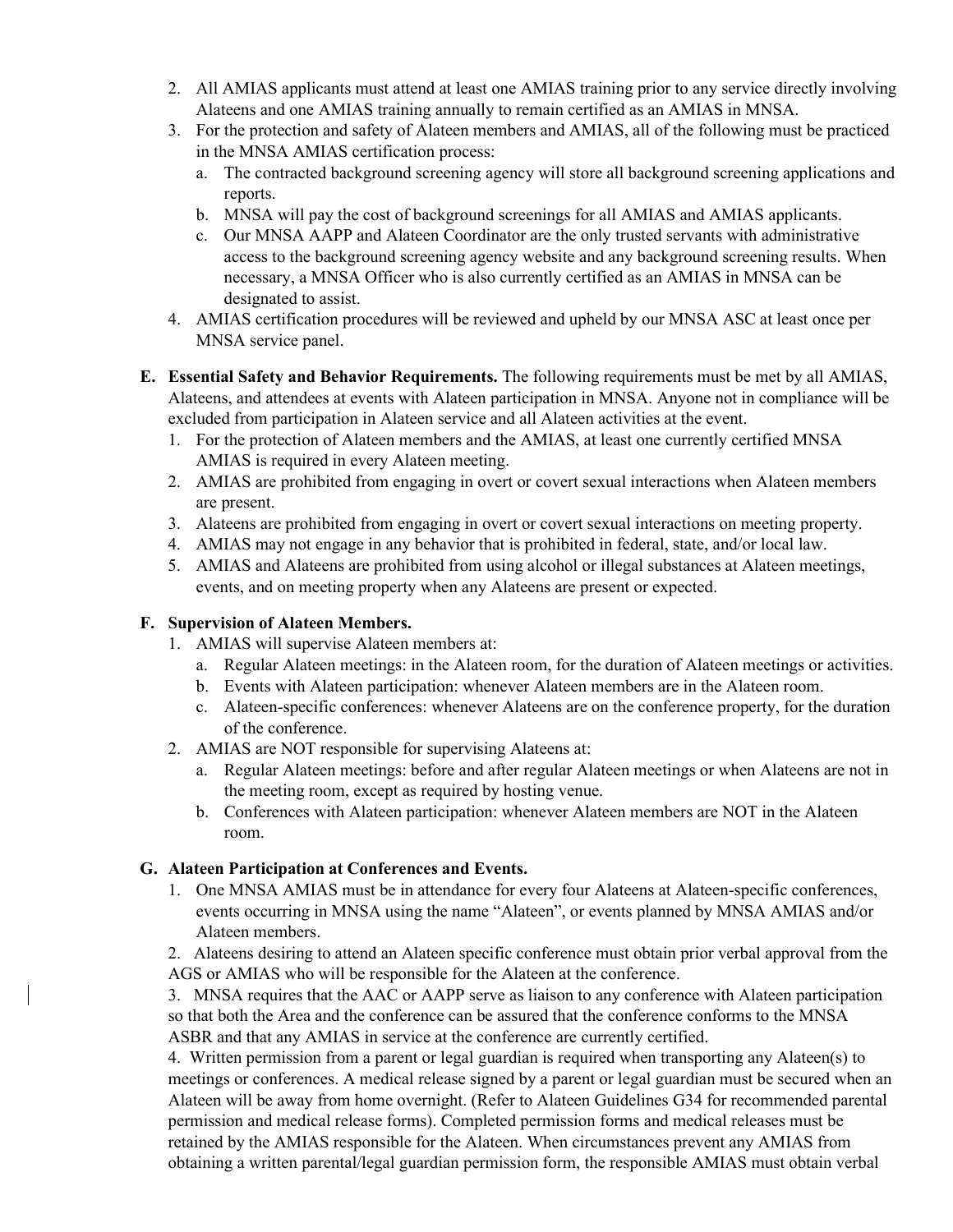- 2. All AMIAS applicants must attend at least one AMIAS training prior to any service directly involving Alateens and one AMIAS training annually to remain certified as an AMIAS in MNSA.
- 3. For the protection and safety of Alateen members and AMIAS, all of the following must be practiced in the MNSA AMIAS certification process:
	- a. The contracted background screening agency will store all background screening applications and reports.
	- b. MNSA will pay the cost of background screenings for all AMIAS and AMIAS applicants.
	- c. Our MNSA AAPP and Alateen Coordinator are the only trusted servants with administrative access to the background screening agency website and any background screening results. When necessary, a MNSA Officer who is also currently certified as an AMIAS in MNSA can be designated to assist.
- 4. AMIAS certification procedures will be reviewed and upheld by our MNSA ASC at least once per MNSA service panel.
- **E. Essential Safety and Behavior Requirements.** The following requirements must be met by all AMIAS, Alateens, and attendees at events with Alateen participation in MNSA. Anyone not in compliance will be excluded from participation in Alateen service and all Alateen activities at the event.
	- 1. For the protection of Alateen members and the AMIAS, at least one currently certified MNSA AMIAS is required in every Alateen meeting.
	- 2. AMIAS are prohibited from engaging in overt or covert sexual interactions when Alateen members are present.
	- 3. Alateens are prohibited from engaging in overt or covert sexual interactions on meeting property.
	- 4. AMIAS may not engage in any behavior that is prohibited in federal, state, and/or local law.
	- 5. AMIAS and Alateens are prohibited from using alcohol or illegal substances at Alateen meetings, events, and on meeting property when any Alateens are present or expected.

### **F. Supervision of Alateen Members.**

- 1. AMIAS will supervise Alateen members at:
	- a. Regular Alateen meetings: in the Alateen room, for the duration of Alateen meetings or activities.
	- b. Events with Alateen participation: whenever Alateen members are in the Alateen room.
	- c. Alateen-specific conferences: whenever Alateens are on the conference property, for the duration of the conference.
- 2. AMIAS are NOT responsible for supervising Alateens at:
	- a. Regular Alateen meetings: before and after regular Alateen meetings or when Alateens are not in the meeting room, except as required by hosting venue.
	- b. Conferences with Alateen participation: whenever Alateen members are NOT in the Alateen room.

## **G. Alateen Participation at Conferences and Events.**

- 1. One MNSA AMIAS must be in attendance for every four Alateens at Alateen-specific conferences, events occurring in MNSA using the name "Alateen", or events planned by MNSA AMIAS and/or Alateen members.
- 2. Alateens desiring to attend an Alateen specific conference must obtain prior verbal approval from the AGS or AMIAS who will be responsible for the Alateen at the conference.

3. MNSA requires that the AAC or AAPP serve as liaison to any conference with Alateen participation so that both the Area and the conference can be assured that the conference conforms to the MNSA ASBR and that any AMIAS in service at the conference are currently certified.

4. Written permission from a parent or legal guardian is required when transporting any Alateen(s) to meetings or conferences. A medical release signed by a parent or legal guardian must be secured when an Alateen will be away from home overnight. (Refer to Alateen Guidelines G34 for recommended parental permission and medical release forms). Completed permission forms and medical releases must be retained by the AMIAS responsible for the Alateen. When circumstances prevent any AMIAS from obtaining a written parental/legal guardian permission form, the responsible AMIAS must obtain verbal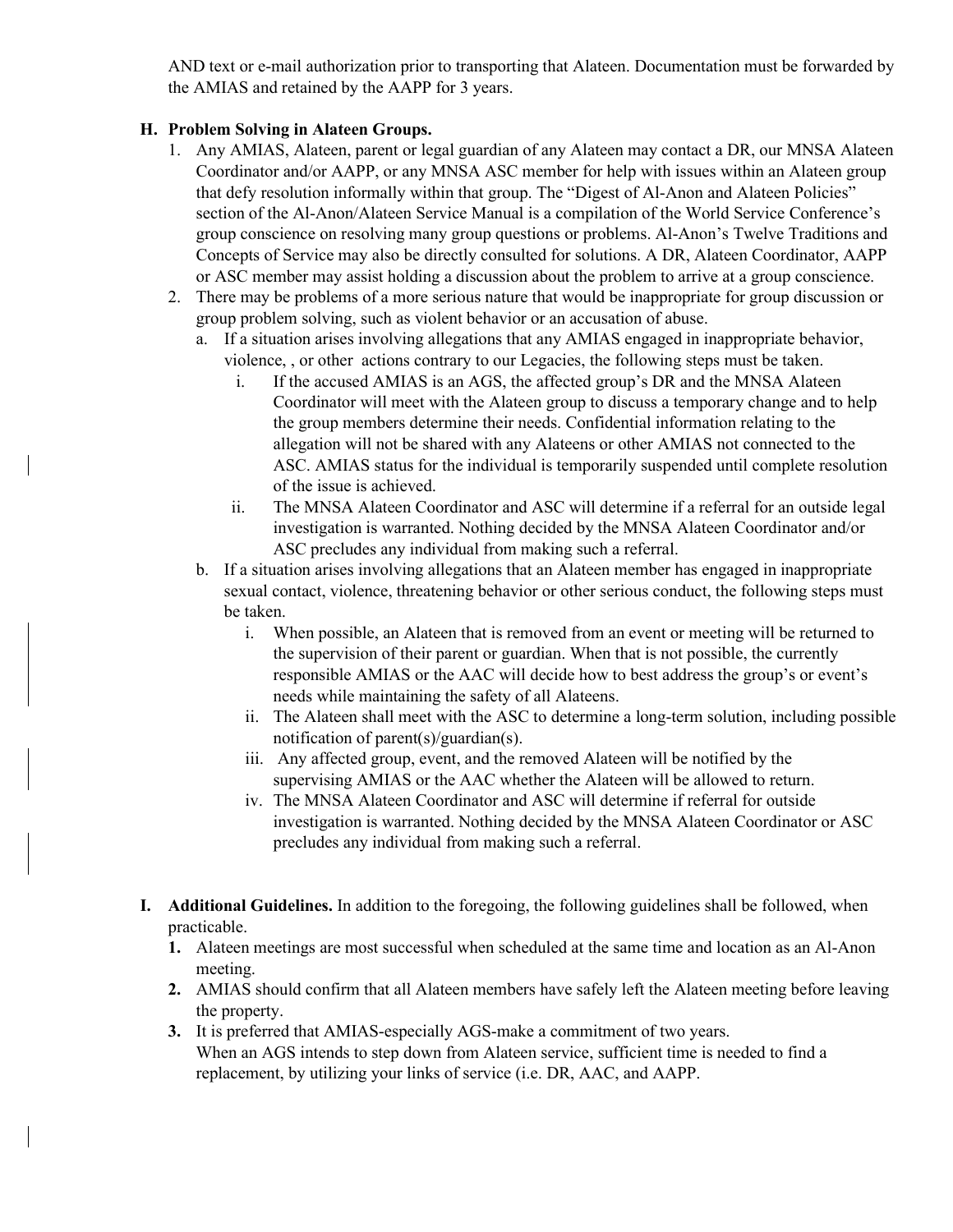AND text or e-mail authorization prior to transporting that Alateen. Documentation must be forwarded by the AMIAS and retained by the AAPP for 3 years.

#### **H. Problem Solving in Alateen Groups.**

- 1. Any AMIAS, Alateen, parent or legal guardian of any Alateen may contact a DR, our MNSA Alateen Coordinator and/or AAPP, or any MNSA ASC member for help with issues within an Alateen group that defy resolution informally within that group. The "Digest of Al-Anon and Alateen Policies" section of the Al-Anon/Alateen Service Manual is a compilation of the World Service Conference's group conscience on resolving many group questions or problems. Al-Anon's Twelve Traditions and Concepts of Service may also be directly consulted for solutions. A DR, Alateen Coordinator, AAPP or ASC member may assist holding a discussion about the problem to arrive at a group conscience.
- 2. There may be problems of a more serious nature that would be inappropriate for group discussion or group problem solving, such as violent behavior or an accusation of abuse.
	- a. If a situation arises involving allegations that any AMIAS engaged in inappropriate behavior, violence, , or other actions contrary to our Legacies, the following steps must be taken.
		- i. If the accused AMIAS is an AGS, the affected group's DR and the MNSA Alateen Coordinator will meet with the Alateen group to discuss a temporary change and to help the group members determine their needs. Confidential information relating to the allegation will not be shared with any Alateens or other AMIAS not connected to the ASC. AMIAS status for the individual is temporarily suspended until complete resolution of the issue is achieved.
		- ii. The MNSA Alateen Coordinator and ASC will determine if a referral for an outside legal investigation is warranted. Nothing decided by the MNSA Alateen Coordinator and/or ASC precludes any individual from making such a referral.
	- b. If a situation arises involving allegations that an Alateen member has engaged in inappropriate sexual contact, violence, threatening behavior or other serious conduct, the following steps must be taken.
		- i. When possible, an Alateen that is removed from an event or meeting will be returned to the supervision of their parent or guardian. When that is not possible, the currently responsible AMIAS or the AAC will decide how to best address the group's or event's needs while maintaining the safety of all Alateens.
		- ii. The Alateen shall meet with the ASC to determine a long-term solution, including possible notification of parent(s)/guardian(s).
		- iii. Any affected group, event, and the removed Alateen will be notified by the supervising AMIAS or the AAC whether the Alateen will be allowed to return.
		- iv. The MNSA Alateen Coordinator and ASC will determine if referral for outside investigation is warranted. Nothing decided by the MNSA Alateen Coordinator or ASC precludes any individual from making such a referral.
- **I. Additional Guidelines.** In addition to the foregoing, the following guidelines shall be followed, when practicable.
	- **1.** Alateen meetings are most successful when scheduled at the same time and location as an Al-Anon meeting.
	- **2.** AMIAS should confirm that all Alateen members have safely left the Alateen meeting before leaving the property.
	- **3.** It is preferred that AMIAS-especially AGS-make a commitment of two years. When an AGS intends to step down from Alateen service, sufficient time is needed to find a replacement, by utilizing your links of service (i.e. DR, AAC, and AAPP.